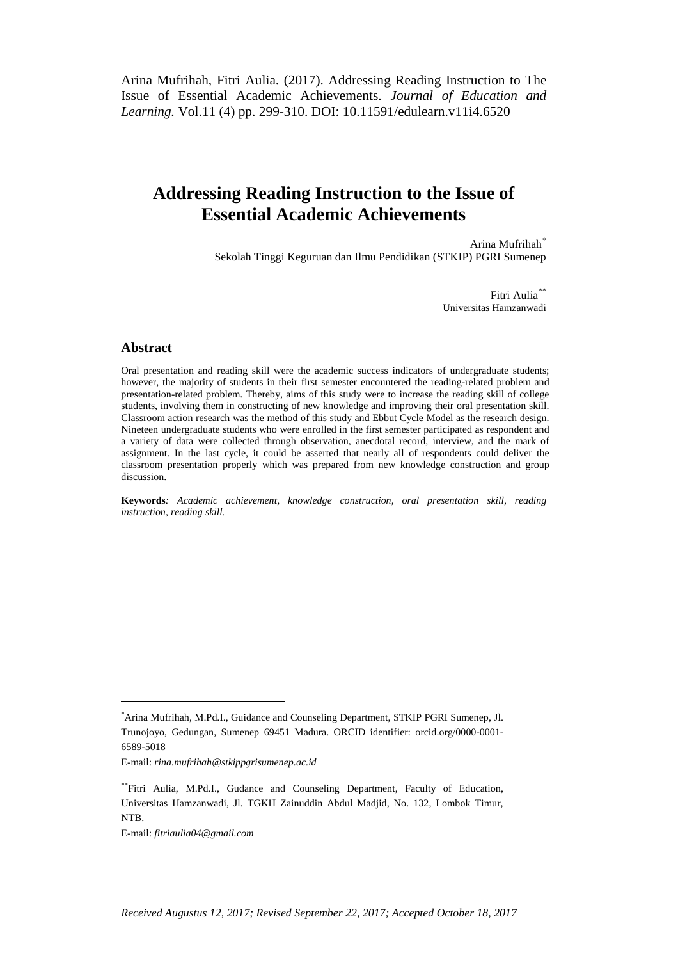Arina Mufrihah, Fitri Aulia. (2017). Addressing Reading Instruction to The Issue of Essential Academic Achievements. *Journal of Education and Learning.* Vol.11 (4) pp. 299-310. DOI: 10.11591/edulearn.v11i4.6520

# **Addressing Reading Instruction to the Issue of Essential Academic Achievements**

Arina Mufrihah[\\*](#page-0-0) Sekolah Tinggi Keguruan dan Ilmu Pendidikan (STKIP) PGRI Sumenep

> Fitri Aulia<sup>\*</sup> Universitas Hamzanwadi

# **Abstract**

Oral presentation and reading skill were the academic success indicators of undergraduate students; however, the majority of students in their first semester encountered the reading-related problem and presentation-related problem. Thereby, aims of this study were to increase the reading skill of college students, involving them in constructing of new knowledge and improving their oral presentation skill. Classroom action research was the method of this study and Ebbut Cycle Model as the research design. Nineteen undergraduate students who were enrolled in the first semester participated as respondent and a variety of data were collected through observation, anecdotal record, interview, and the mark of assignment. In the last cycle, it could be asserted that nearly all of respondents could deliver the classroom presentation properly which was prepared from new knowledge construction and group discussion.

**Keywords***: Academic achievement, knowledge construction, oral presentation skill, reading instruction, reading skill.*

E-mail: *rina.mufrihah@stkippgrisumenep.ac.id*

E-mail: *fitriaulia04@gmail.com*

<span id="page-0-0"></span> <sup>\*</sup> Arina Mufrihah, M.Pd.I., Guidance and Counseling Department, STKIP PGRI Sumenep, Jl. Trunojoyo, Gedungan, Sumenep 69451 Madura. ORCID identifier: [orcid.](https://orcid.org/my-orcid)org/0000-0001- 6589-5018

<span id="page-0-1"></span><sup>\*\*</sup>Fitri Aulia, M.Pd.I., Gudance and Counseling Department, Faculty of Education, Universitas Hamzanwadi, Jl. TGKH Zainuddin Abdul Madjid, No. 132, Lombok Timur, NTB.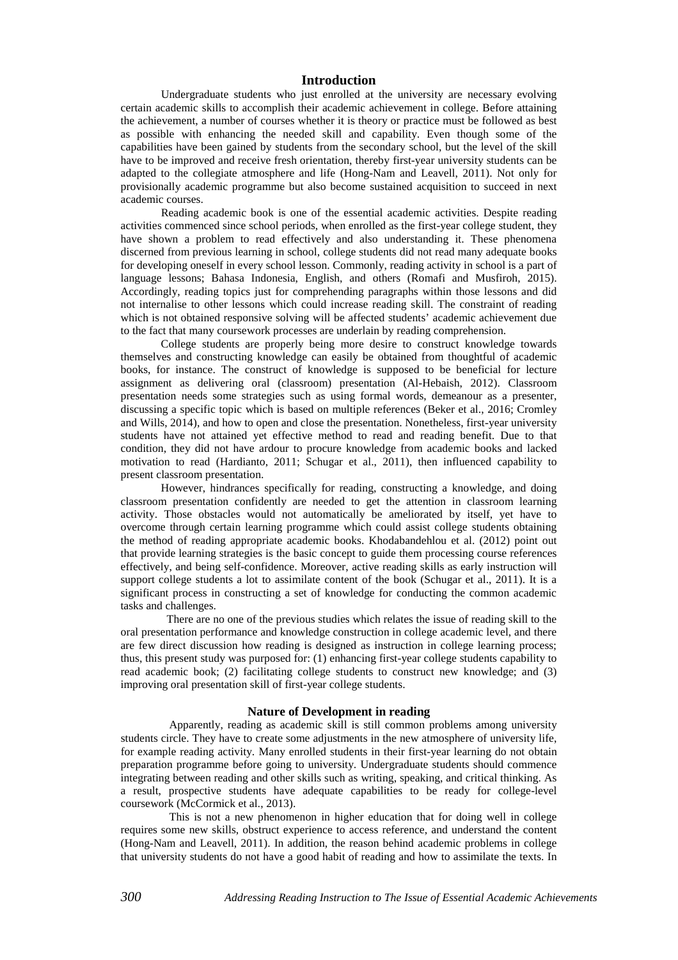## **Introduction**

Undergraduate students who just enrolled at the university are necessary evolving certain academic skills to accomplish their academic achievement in college. Before attaining the achievement, a number of courses whether it is theory or practice must be followed as best as possible with enhancing the needed skill and capability. Even though some of the capabilities have been gained by students from the secondary school, but the level of the skill have to be improved and receive fresh orientation, thereby first-year university students can be adapted to the collegiate atmosphere and life [\(Hong-Nam and Leavell, 2011\)](#page-10-0). Not only for provisionally academic programme but also become sustained acquisition to succeed in next academic courses.

Reading academic book is one of the essential academic activities. Despite reading activities commenced since school periods, when enrolled as the first-year college student, they have shown a problem to read effectively and also understanding it. These phenomena discerned from previous learning in school, college students did not read many adequate books for developing oneself in every school lesson. Commonly, reading activity in school is a part of language lessons; Bahasa Indonesia, English, and others [\(Romafi and Musfiroh, 2015\)](#page-10-1). Accordingly, reading topics just for comprehending paragraphs within those lessons and did not internalise to other lessons which could increase reading skill. The constraint of reading which is not obtained responsive solving will be affected students' academic achievement due to the fact that many coursework processes are underlain by reading comprehension.

College students are properly being more desire to construct knowledge towards themselves and constructing knowledge can easily be obtained from thoughtful of academic books, for instance. The construct of knowledge is supposed to be beneficial for lecture assignment as delivering oral (classroom) presentation [\(Al-Hebaish, 2012\)](#page-10-2). Classroom presentation needs some strategies such as using formal words, demeanour as a presenter, discussing a specific topic which is based on multiple references [\(Beker et al., 2016;](#page-10-3) [Cromley](#page-10-4)  [and Wills, 2014\)](#page-10-4), and how to open and close the presentation. Nonetheless, first-year university students have not attained yet effective method to read and reading benefit. Due to that condition, they did not have ardour to procure knowledge from academic books and lacked motivation to read [\(Hardianto, 2011;](#page-10-5) [Schugar et al., 2011\)](#page-11-0), then influenced capability to present classroom presentation.

However, hindrances specifically for reading, constructing a knowledge, and doing classroom presentation confidently are needed to get the attention in classroom learning activity. Those obstacles would not automatically be ameliorated by itself, yet have to overcome through certain learning programme which could assist college students obtaining the method of reading appropriate academic books. [Khodabandehlou et al. \(2012\)](#page-10-6) point out that provide learning strategies is the basic concept to guide them processing course references effectively, and being self-confidence. Moreover, active reading skills as early instruction will support college students a lot to assimilate content of the book [\(Schugar et al., 2011\)](#page-11-0). It is a significant process in constructing a set of knowledge for conducting the common academic tasks and challenges.

 There are no one of the previous studies which relates the issue of reading skill to the oral presentation performance and knowledge construction in college academic level, and there are few direct discussion how reading is designed as instruction in college learning process; thus, this present study was purposed for: (1) enhancing first-year college students capability to read academic book; (2) facilitating college students to construct new knowledge; and (3) improving oral presentation skill of first-year college students.

## **Nature of Development in reading**

Apparently, reading as academic skill is still common problems among university students circle. They have to create some adjustments in the new atmosphere of university life, for example reading activity. Many enrolled students in their first-year learning do not obtain preparation programme before going to university. Undergraduate students should commence integrating between reading and other skills such as writing, speaking, and critical thinking. As a result, prospective students have adequate capabilities to be ready for college-level coursework [\(McCormick et al., 2013\)](#page-10-7).

This is not a new phenomenon in higher education that for doing well in college requires some new skills, obstruct experience to access reference, and understand the content [\(Hong-Nam and Leavell, 2011\)](#page-10-0). In addition, the reason behind academic problems in college that university students do not have a good habit of reading and how to assimilate the texts. In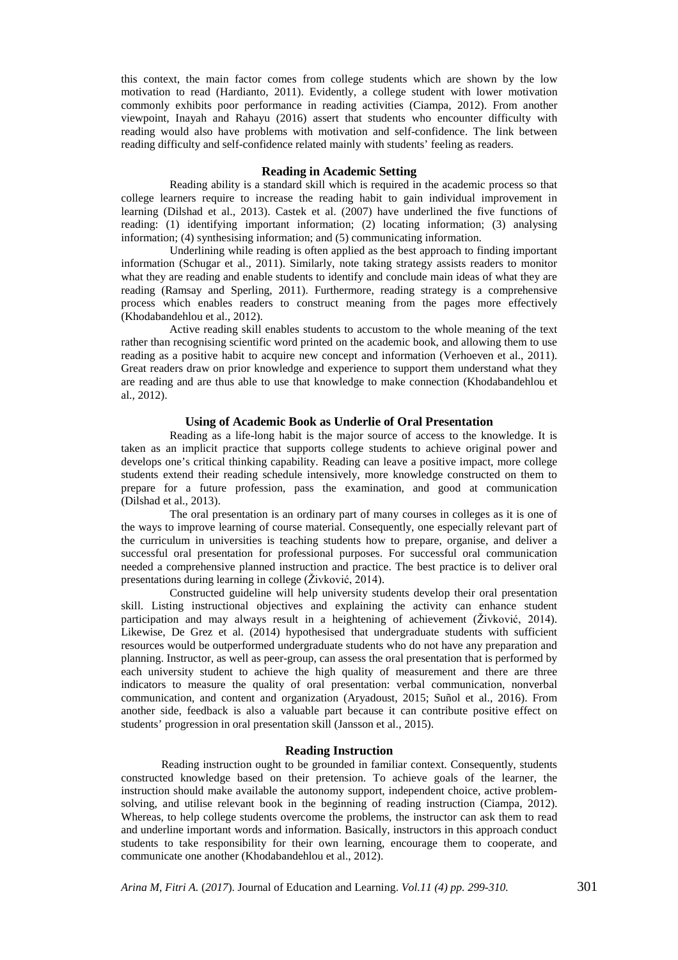this context, the main factor comes from college students which are shown by the low motivation to read [\(Hardianto, 2011\)](#page-10-5). Evidently, a college student with lower motivation commonly exhibits poor performance in reading activities [\(Ciampa, 2012\)](#page-10-8). From another viewpoint, [Inayah and Rahayu \(2016\)](#page-10-9) assert that students who encounter difficulty with reading would also have problems with motivation and self-confidence. The link between reading difficulty and self-confidence related mainly with students' feeling as readers.

## **Reading in Academic Setting**

Reading ability is a standard skill which is required in the academic process so that college learners require to increase the reading habit to gain individual improvement in learning [\(Dilshad et al., 2013\)](#page-10-10). [Castek et al. \(2007\)](#page-10-11) have underlined the five functions of reading: (1) identifying important information; (2) locating information; (3) analysing information; (4) synthesising information; and (5) communicating information.

Underlining while reading is often applied as the best approach to finding important information [\(Schugar et al., 2011\)](#page-11-0). Similarly, note taking strategy assists readers to monitor what they are reading and enable students to identify and conclude main ideas of what they are reading [\(Ramsay and Sperling, 2011\)](#page-10-12). Furthermore, reading strategy is a comprehensive process which enables readers to construct meaning from the pages more effectively [\(Khodabandehlou et al., 2012\)](#page-10-6).

Active reading skill enables students to accustom to the whole meaning of the text rather than recognising scientific word printed on the academic book, and allowing them to use reading as a positive habit to acquire new concept and information [\(Verhoeven et al., 2011\)](#page-11-1). Great readers draw on prior knowledge and experience to support them understand what they are reading and are thus able to use that knowledge to make connection [\(Khodabandehlou et](#page-10-6)  [al., 2012\)](#page-10-6).

## **Using of Academic Book as Underlie of Oral Presentation**

Reading as a life-long habit is the major source of access to the knowledge. It is taken as an implicit practice that supports college students to achieve original power and develops one's critical thinking capability. Reading can leave a positive impact, more college students extend their reading schedule intensively, more knowledge constructed on them to prepare for a future profession, pass the examination, and good at communication [\(Dilshad et al., 2013\)](#page-10-10).

The oral presentation is an ordinary part of many courses in colleges as it is one of the ways to improve learning of course material. Consequently, one especially relevant part of the curriculum in universities is teaching students how to prepare, organise, and deliver a successful oral presentation for professional purposes. For successful oral communication needed a comprehensive planned instruction and practice. The best practice is to deliver oral presentations during learning in college ([Živković, 2014](#page-11-2)).

Constructed guideline will help university students develop their oral presentation skill. Listing instructional objectives and explaining the activity can enhance student participation and may always result in a heightening of achievement ([Živković, 2014](#page-11-2)). Likewise, [De Grez et al. \(2014\)](#page-10-13) hypothesised that undergraduate students with sufficient resources would be outperformed undergraduate students who do not have any preparation and planning. Instructor, as well as peer-group, can assess the oral presentation that is performed by each university student to achieve the high quality of measurement and there are three indicators to measure the quality of oral presentation: verbal communication, nonverbal communication, and content and organization [\(Aryadoust, 2015;](#page-10-14) [Suñol et al., 2016\)](#page-11-3). From another side, feedback is also a valuable part because it can contribute positive effect on students' progression in oral presentation skill [\(Jansson et al., 2015\)](#page-10-15).

#### **Reading Instruction**

Reading instruction ought to be grounded in familiar context. Consequently, students constructed knowledge based on their pretension. To achieve goals of the learner, the instruction should make available the autonomy support, independent choice, active problemsolving, and utilise relevant book in the beginning of reading instruction [\(Ciampa, 2012\)](#page-10-8). Whereas, to help college students overcome the problems, the instructor can ask them to read and underline important words and information. Basically, instructors in this approach conduct students to take responsibility for their own learning, encourage them to cooperate, and communicate one another [\(Khodabandehlou et al., 2012\)](#page-10-6).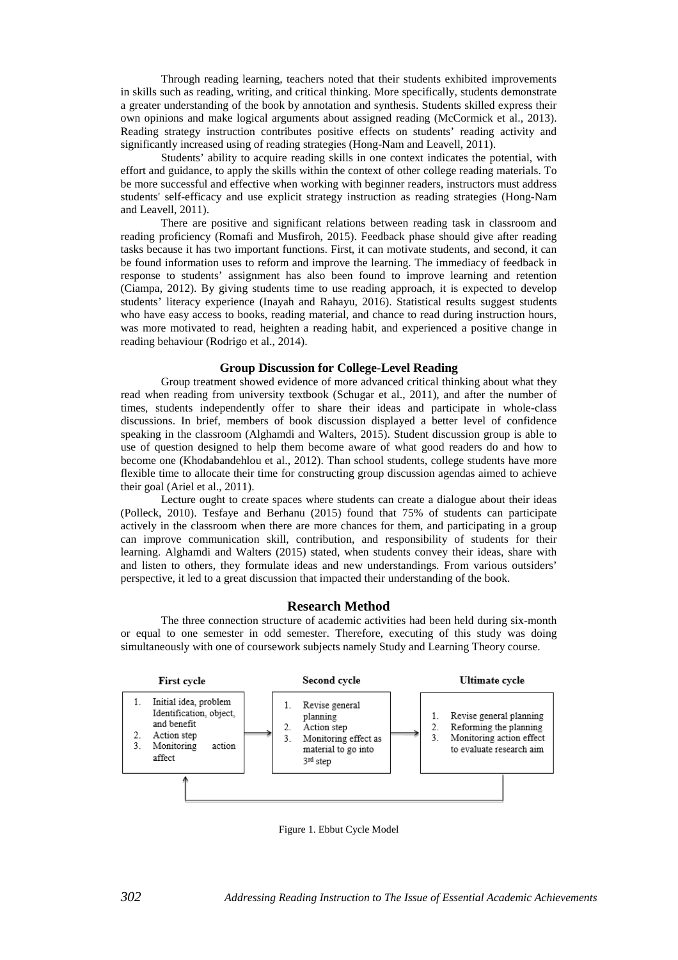Through reading learning, teachers noted that their students exhibited improvements in skills such as reading, writing, and critical thinking. More specifically, students demonstrate a greater understanding of the book by annotation and synthesis. Students skilled express their own opinions and make logical arguments about assigned reading [\(McCormick et al., 2013\)](#page-10-7). Reading strategy instruction contributes positive effects on students' reading activity and significantly increased using of reading strategies [\(Hong-Nam and Leavell, 2011\)](#page-10-0).

Students' ability to acquire reading skills in one context indicates the potential, with effort and guidance, to apply the skills within the context of other college reading materials. To be more successful and effective when working with beginner readers, instructors must address students' self-efficacy and use explicit strategy instruction as reading strategies [\(Hong-Nam](#page-10-0)  [and Leavell, 2011\)](#page-10-0).

There are positive and significant relations between reading task in classroom and reading proficiency [\(Romafi and Musfiroh, 2015\)](#page-10-1). Feedback phase should give after reading tasks because it has two important functions. First, it can motivate students, and second, it can be found information uses to reform and improve the learning. The immediacy of feedback in response to students' assignment has also been found to improve learning and retention [\(Ciampa, 2012\)](#page-10-8). By giving students time to use reading approach, it is expected to develop students' literacy experience [\(Inayah and Rahayu, 2016\)](#page-10-9). Statistical results suggest students who have easy access to books, reading material, and chance to read during instruction hours, was more motivated to read, heighten a reading habit, and experienced a positive change in reading behaviour [\(Rodrigo et al., 2014\)](#page-10-16).

# **Group Discussion for College-Level Reading**

Group treatment showed evidence of more advanced critical thinking about what they read when reading from university textbook [\(Schugar et al., 2011\)](#page-11-0), and after the number of times, students independently offer to share their ideas and participate in whole-class discussions. In brief, members of book discussion displayed a better level of confidence speaking in the classroom [\(Alghamdi and Walters, 2015\)](#page-10-17). Student discussion group is able to use of question designed to help them become aware of what good readers do and how to become one [\(Khodabandehlou et al., 2012\)](#page-10-6). Than school students, college students have more flexible time to allocate their time for constructing group discussion agendas aimed to achieve their goal [\(Ariel et al., 2011\)](#page-10-18).

Lecture ought to create spaces where students can create a dialogue about their ideas [\(Polleck, 2010\)](#page-10-19). [Tesfaye and Berhanu \(2015\)](#page-11-4) found that 75% of students can participate actively in the classroom when there are more chances for them, and participating in a group can improve communication skill, contribution, and responsibility of students for their learning. [Alghamdi and Walters \(2015\)](#page-10-17) stated, when students convey their ideas, share with and listen to others, they formulate ideas and new understandings. From various outsiders' perspective, it led to a great discussion that impacted their understanding of the book.

## **Research Method**

The three connection structure of academic activities had been held during six-month or equal to one semester in odd semester. Therefore, executing of this study was doing simultaneously with one of coursework subjects namely Study and Learning Theory course.



Figure 1. Ebbut Cycle Model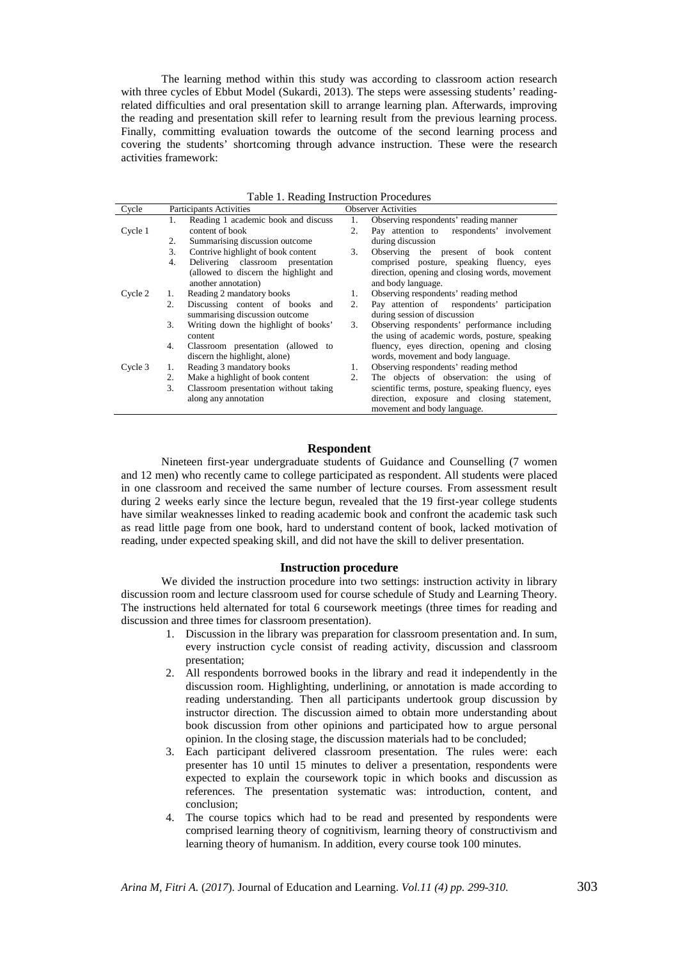The learning method within this study was according to classroom action research with three cycles of Ebbut Model [\(Sukardi, 2013\)](#page-11-5). The steps were assessing students' readingrelated difficulties and oral presentation skill to arrange learning plan. Afterwards, improving the reading and presentation skill refer to learning result from the previous learning process. Finally, committing evaluation towards the outcome of the second learning process and covering the students' shortcoming through advance instruction. These were the research activities framework:

| Table 1. Reading modellen Troccultures |                                |                                       |                            |                                                   |
|----------------------------------------|--------------------------------|---------------------------------------|----------------------------|---------------------------------------------------|
| Cycle                                  | <b>Participants Activities</b> |                                       | <b>Observer Activities</b> |                                                   |
|                                        | 1.                             | Reading 1 academic book and discuss   | 1.                         | Observing respondents' reading manner             |
| Cycle 1                                |                                | content of book                       | 2.                         | Pay attention to respondents' involvement         |
|                                        | 2.                             | Summarising discussion outcome        |                            | during discussion                                 |
|                                        | 3.                             | Contrive highlight of book content    | 3.                         | Observing the present of book content             |
|                                        | 4.                             | Delivering classroom presentation     |                            | comprised posture, speaking fluency, eyes         |
|                                        |                                | (allowed to discern the highlight and |                            | direction, opening and closing words, movement    |
|                                        |                                | another annotation)                   |                            | and body language.                                |
| Cycle 2                                | 1.                             | Reading 2 mandatory books             | 1.                         | Observing respondents' reading method             |
|                                        | 2.                             | Discussing content of books and       | 2.                         | Pay attention of respondents' participation       |
|                                        |                                | summarising discussion outcome        |                            | during session of discussion                      |
|                                        | 3.                             | Writing down the highlight of books'  | 3.                         | Observing respondents' performance including      |
|                                        |                                | content                               |                            | the using of academic words, posture, speaking    |
|                                        | 4.                             | Classroom presentation (allowed to    |                            | fluency, eyes direction, opening and closing      |
|                                        |                                | discern the highlight, alone)         |                            | words, movement and body language.                |
| Cycle 3                                |                                | Reading 3 mandatory books             | 1.                         | Observing respondents' reading method             |
|                                        | 2.                             | Make a highlight of book content      | 2.                         | The objects of observation: the using of          |
|                                        | 3.                             | Classroom presentation without taking |                            | scientific terms, posture, speaking fluency, eyes |
|                                        |                                | along any annotation                  |                            | direction, exposure and closing statement,        |
|                                        |                                |                                       |                            | movement and body language.                       |

Table 1. Reading Instruction Procedures

#### **Respondent**

Nineteen first-year undergraduate students of Guidance and Counselling (7 women and 12 men) who recently came to college participated as respondent. All students were placed in one classroom and received the same number of lecture courses. From assessment result during 2 weeks early since the lecture begun, revealed that the 19 first-year college students have similar weaknesses linked to reading academic book and confront the academic task such as read little page from one book, hard to understand content of book, lacked motivation of reading, under expected speaking skill, and did not have the skill to deliver presentation.

#### **Instruction procedure**

We divided the instruction procedure into two settings: instruction activity in library discussion room and lecture classroom used for course schedule of Study and Learning Theory. The instructions held alternated for total 6 coursework meetings (three times for reading and discussion and three times for classroom presentation).

- 1. Discussion in the library was preparation for classroom presentation and. In sum, every instruction cycle consist of reading activity, discussion and classroom presentation;
- 2. All respondents borrowed books in the library and read it independently in the discussion room. Highlighting, underlining, or annotation is made according to reading understanding. Then all participants undertook group discussion by instructor direction. The discussion aimed to obtain more understanding about book discussion from other opinions and participated how to argue personal opinion. In the closing stage, the discussion materials had to be concluded;
- 3. Each participant delivered classroom presentation. The rules were: each presenter has 10 until 15 minutes to deliver a presentation, respondents were expected to explain the coursework topic in which books and discussion as references. The presentation systematic was: introduction, content, and conclusion;
- 4. The course topics which had to be read and presented by respondents were comprised learning theory of cognitivism, learning theory of constructivism and learning theory of humanism. In addition, every course took 100 minutes.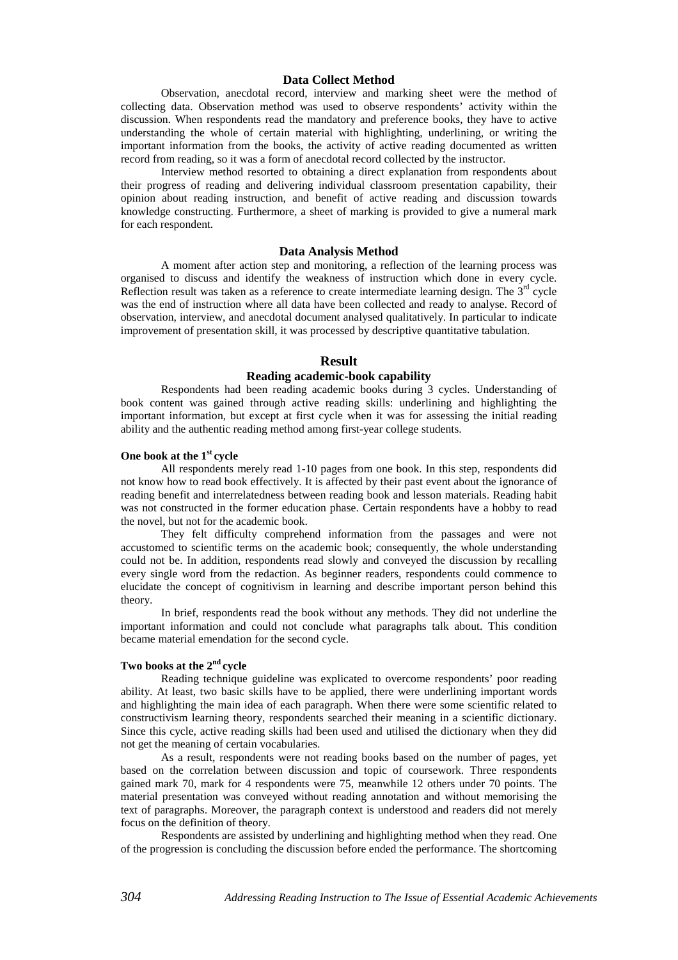#### **Data Collect Method**

Observation, anecdotal record, interview and marking sheet were the method of collecting data. Observation method was used to observe respondents' activity within the discussion. When respondents read the mandatory and preference books, they have to active understanding the whole of certain material with highlighting, underlining, or writing the important information from the books, the activity of active reading documented as written record from reading, so it was a form of anecdotal record collected by the instructor.

Interview method resorted to obtaining a direct explanation from respondents about their progress of reading and delivering individual classroom presentation capability, their opinion about reading instruction, and benefit of active reading and discussion towards knowledge constructing. Furthermore, a sheet of marking is provided to give a numeral mark for each respondent.

#### **Data Analysis Method**

A moment after action step and monitoring, a reflection of the learning process was organised to discuss and identify the weakness of instruction which done in every cycle. Reflection result was taken as a reference to create intermediate learning design. The  $3<sup>rd</sup>$  cycle was the end of instruction where all data have been collected and ready to analyse. Record of observation, interview, and anecdotal document analysed qualitatively. In particular to indicate improvement of presentation skill, it was processed by descriptive quantitative tabulation.

#### **Result**

# **Reading academic-book capability**

Respondents had been reading academic books during 3 cycles. Understanding of book content was gained through active reading skills: underlining and highlighting the important information, but except at first cycle when it was for assessing the initial reading ability and the authentic reading method among first-year college students.

## **One book at the 1st cycle**

All respondents merely read 1-10 pages from one book. In this step, respondents did not know how to read book effectively. It is affected by their past event about the ignorance of reading benefit and interrelatedness between reading book and lesson materials. Reading habit was not constructed in the former education phase. Certain respondents have a hobby to read the novel, but not for the academic book.

They felt difficulty comprehend information from the passages and were not accustomed to scientific terms on the academic book; consequently, the whole understanding could not be. In addition, respondents read slowly and conveyed the discussion by recalling every single word from the redaction. As beginner readers, respondents could commence to elucidate the concept of cognitivism in learning and describe important person behind this theory.

In brief, respondents read the book without any methods. They did not underline the important information and could not conclude what paragraphs talk about. This condition became material emendation for the second cycle.

## **Two books at the 2nd cycle**

Reading technique guideline was explicated to overcome respondents' poor reading ability. At least, two basic skills have to be applied, there were underlining important words and highlighting the main idea of each paragraph. When there were some scientific related to constructivism learning theory, respondents searched their meaning in a scientific dictionary. Since this cycle, active reading skills had been used and utilised the dictionary when they did not get the meaning of certain vocabularies.

As a result, respondents were not reading books based on the number of pages, yet based on the correlation between discussion and topic of coursework. Three respondents gained mark 70, mark for 4 respondents were 75, meanwhile 12 others under 70 points. The material presentation was conveyed without reading annotation and without memorising the text of paragraphs. Moreover, the paragraph context is understood and readers did not merely focus on the definition of theory.

Respondents are assisted by underlining and highlighting method when they read. One of the progression is concluding the discussion before ended the performance. The shortcoming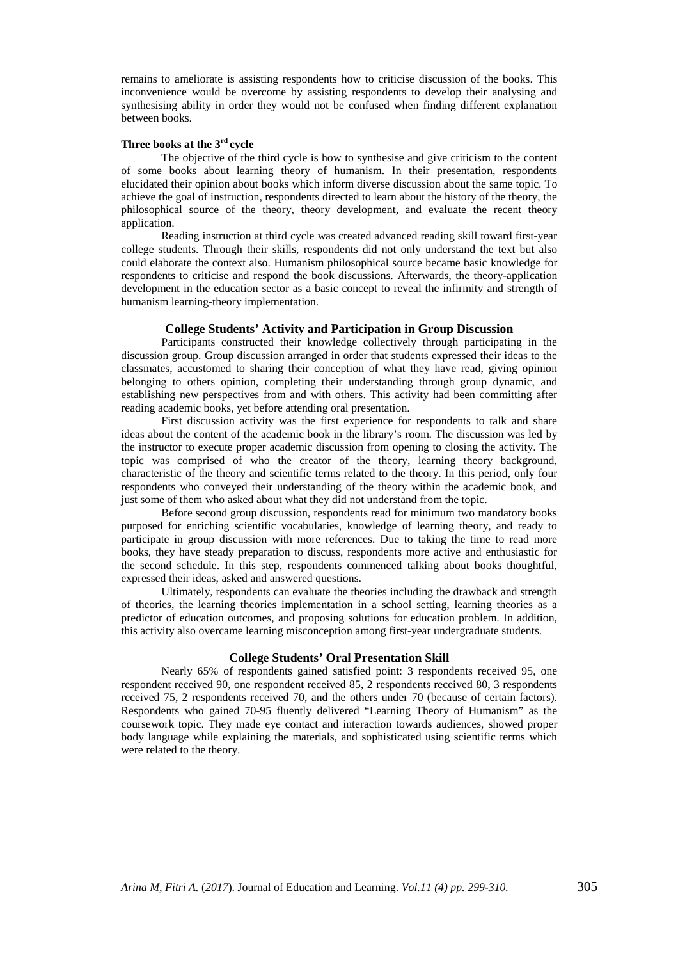remains to ameliorate is assisting respondents how to criticise discussion of the books. This inconvenience would be overcome by assisting respondents to develop their analysing and synthesising ability in order they would not be confused when finding different explanation between books.

# **Three books at the 3rd cycle**

The objective of the third cycle is how to synthesise and give criticism to the content of some books about learning theory of humanism. In their presentation, respondents elucidated their opinion about books which inform diverse discussion about the same topic. To achieve the goal of instruction, respondents directed to learn about the history of the theory, the philosophical source of the theory, theory development, and evaluate the recent theory application.

Reading instruction at third cycle was created advanced reading skill toward first-year college students. Through their skills, respondents did not only understand the text but also could elaborate the context also. Humanism philosophical source became basic knowledge for respondents to criticise and respond the book discussions. Afterwards, the theory-application development in the education sector as a basic concept to reveal the infirmity and strength of humanism learning-theory implementation.

## **College Students' Activity and Participation in Group Discussion**

Participants constructed their knowledge collectively through participating in the discussion group. Group discussion arranged in order that students expressed their ideas to the classmates, accustomed to sharing their conception of what they have read, giving opinion belonging to others opinion, completing their understanding through group dynamic, and establishing new perspectives from and with others. This activity had been committing after reading academic books, yet before attending oral presentation.

First discussion activity was the first experience for respondents to talk and share ideas about the content of the academic book in the library's room. The discussion was led by the instructor to execute proper academic discussion from opening to closing the activity. The topic was comprised of who the creator of the theory, learning theory background, characteristic of the theory and scientific terms related to the theory. In this period, only four respondents who conveyed their understanding of the theory within the academic book, and just some of them who asked about what they did not understand from the topic.

Before second group discussion, respondents read for minimum two mandatory books purposed for enriching scientific vocabularies, knowledge of learning theory, and ready to participate in group discussion with more references. Due to taking the time to read more books, they have steady preparation to discuss, respondents more active and enthusiastic for the second schedule. In this step, respondents commenced talking about books thoughtful, expressed their ideas, asked and answered questions.

Ultimately, respondents can evaluate the theories including the drawback and strength of theories, the learning theories implementation in a school setting, learning theories as a predictor of education outcomes, and proposing solutions for education problem. In addition, this activity also overcame learning misconception among first-year undergraduate students.

## **College Students' Oral Presentation Skill**

Nearly 65% of respondents gained satisfied point: 3 respondents received 95, one respondent received 90, one respondent received 85, 2 respondents received 80, 3 respondents received 75, 2 respondents received 70, and the others under 70 (because of certain factors). Respondents who gained 70-95 fluently delivered "Learning Theory of Humanism" as the coursework topic. They made eye contact and interaction towards audiences, showed proper body language while explaining the materials, and sophisticated using scientific terms which were related to the theory.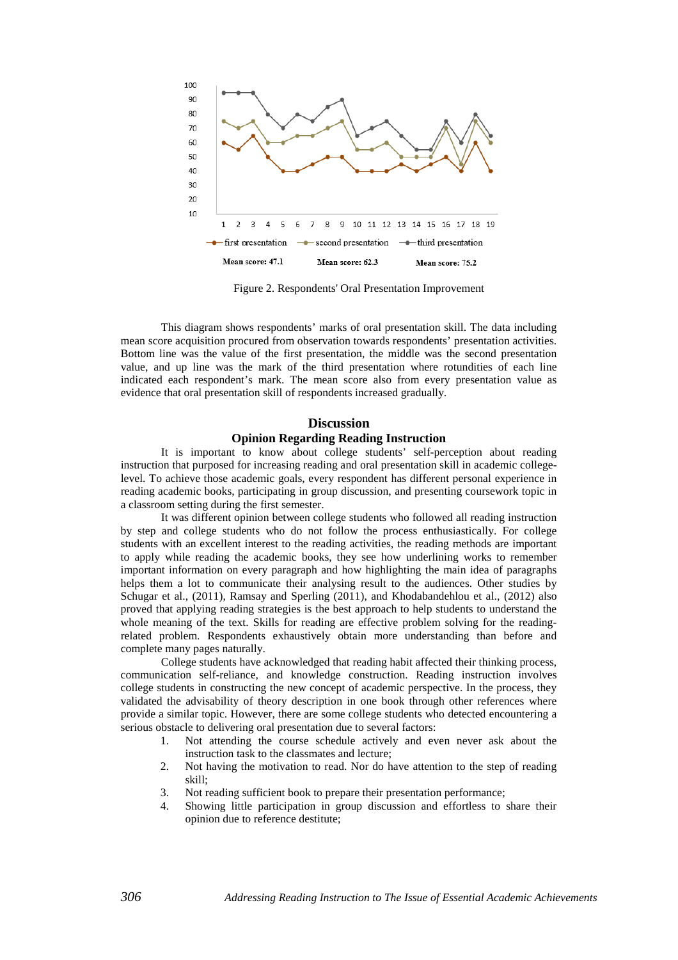

Figure 2. Respondents' Oral Presentation Improvement

This diagram shows respondents' marks of oral presentation skill. The data including mean score acquisition procured from observation towards respondents' presentation activities. Bottom line was the value of the first presentation, the middle was the second presentation value, and up line was the mark of the third presentation where rotundities of each line indicated each respondent's mark. The mean score also from every presentation value as evidence that oral presentation skill of respondents increased gradually.

# **Discussion Opinion Regarding Reading Instruction**

It is important to know about college students' self-perception about reading instruction that purposed for increasing reading and oral presentation skill in academic collegelevel. To achieve those academic goals, every respondent has different personal experience in reading academic books, participating in group discussion, and presenting coursework topic in a classroom setting during the first semester.

It was different opinion between college students who followed all reading instruction by step and college students who do not follow the process enthusiastically. For college students with an excellent interest to the reading activities, the reading methods are important to apply while reading the academic books, they see how underlining works to remember important information on every paragraph and how highlighting the main idea of paragraphs helps them a lot to communicate their analysing result to the audiences. Other studies by Schugar et al., (2011), Ramsay and Sperling (2011), and [Khodabandehlou et al., \(2012\)](#page-10-6) also proved that applying reading strategies is the best approach to help students to understand the whole meaning of the text. Skills for reading are effective problem solving for the readingrelated problem. Respondents exhaustively obtain more understanding than before and complete many pages naturally.

College students have acknowledged that reading habit affected their thinking process, communication self-reliance, and knowledge construction. Reading instruction involves college students in constructing the new concept of academic perspective. In the process, they validated the advisability of theory description in one book through other references where provide a similar topic. However, there are some college students who detected encountering a serious obstacle to delivering oral presentation due to several factors:

- 1. Not attending the course schedule actively and even never ask about the instruction task to the classmates and lecture;
- 2. Not having the motivation to read. Nor do have attention to the step of reading skill;
- 3. Not reading sufficient book to prepare their presentation performance;
- 4. Showing little participation in group discussion and effortless to share their opinion due to reference destitute;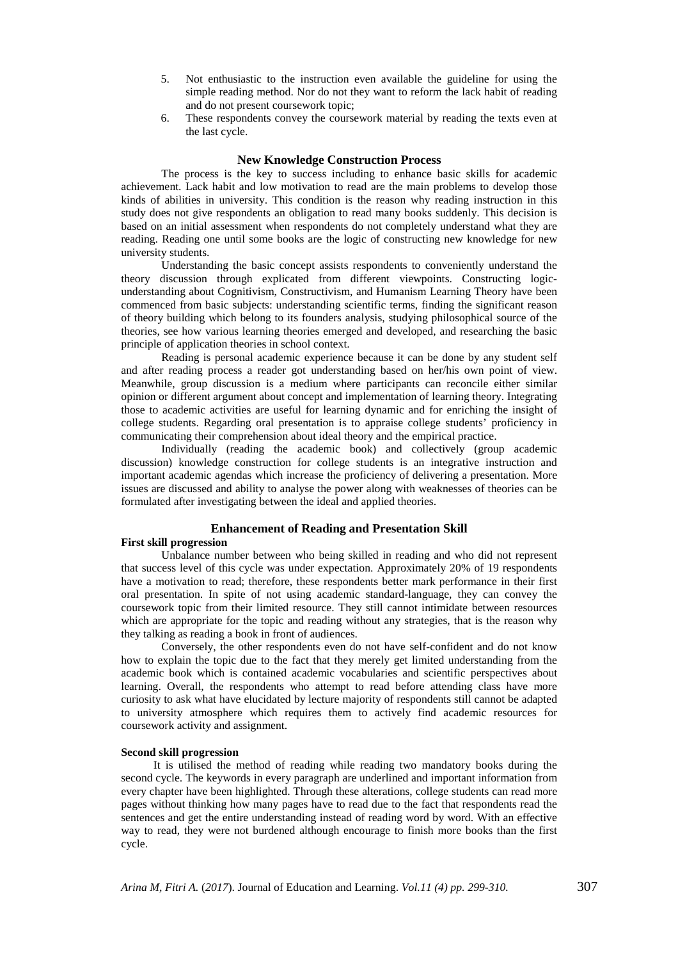- 5. Not enthusiastic to the instruction even available the guideline for using the simple reading method. Nor do not they want to reform the lack habit of reading and do not present coursework topic;
- 6. These respondents convey the coursework material by reading the texts even at the last cycle.

## **New Knowledge Construction Process**

The process is the key to success including to enhance basic skills for academic achievement. Lack habit and low motivation to read are the main problems to develop those kinds of abilities in university. This condition is the reason why reading instruction in this study does not give respondents an obligation to read many books suddenly. This decision is based on an initial assessment when respondents do not completely understand what they are reading. Reading one until some books are the logic of constructing new knowledge for new university students.

Understanding the basic concept assists respondents to conveniently understand the theory discussion through explicated from different viewpoints. Constructing logicunderstanding about Cognitivism, Constructivism, and Humanism Learning Theory have been commenced from basic subjects: understanding scientific terms, finding the significant reason of theory building which belong to its founders analysis, studying philosophical source of the theories, see how various learning theories emerged and developed, and researching the basic principle of application theories in school context.

Reading is personal academic experience because it can be done by any student self and after reading process a reader got understanding based on her/his own point of view. Meanwhile, group discussion is a medium where participants can reconcile either similar opinion or different argument about concept and implementation of learning theory. Integrating those to academic activities are useful for learning dynamic and for enriching the insight of college students. Regarding oral presentation is to appraise college students' proficiency in communicating their comprehension about ideal theory and the empirical practice.

Individually (reading the academic book) and collectively (group academic discussion) knowledge construction for college students is an integrative instruction and important academic agendas which increase the proficiency of delivering a presentation. More issues are discussed and ability to analyse the power along with weaknesses of theories can be formulated after investigating between the ideal and applied theories.

#### **Enhancement of Reading and Presentation Skill**

#### **First skill progression**

Unbalance number between who being skilled in reading and who did not represent that success level of this cycle was under expectation. Approximately 20% of 19 respondents have a motivation to read; therefore, these respondents better mark performance in their first oral presentation. In spite of not using academic standard-language, they can convey the coursework topic from their limited resource. They still cannot intimidate between resources which are appropriate for the topic and reading without any strategies, that is the reason why they talking as reading a book in front of audiences.

Conversely, the other respondents even do not have self-confident and do not know how to explain the topic due to the fact that they merely get limited understanding from the academic book which is contained academic vocabularies and scientific perspectives about learning. Overall, the respondents who attempt to read before attending class have more curiosity to ask what have elucidated by lecture majority of respondents still cannot be adapted to university atmosphere which requires them to actively find academic resources for coursework activity and assignment.

#### **Second skill progression**

It is utilised the method of reading while reading two mandatory books during the second cycle. The keywords in every paragraph are underlined and important information from every chapter have been highlighted. Through these alterations, college students can read more pages without thinking how many pages have to read due to the fact that respondents read the sentences and get the entire understanding instead of reading word by word. With an effective way to read, they were not burdened although encourage to finish more books than the first cycle.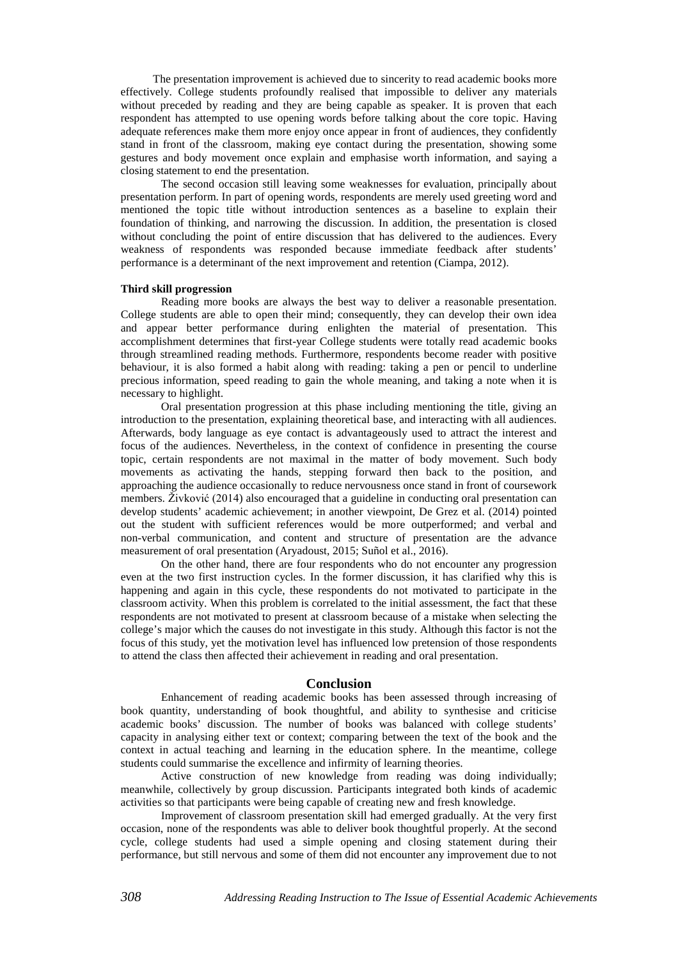The presentation improvement is achieved due to sincerity to read academic books more effectively. College students profoundly realised that impossible to deliver any materials without preceded by reading and they are being capable as speaker. It is proven that each respondent has attempted to use opening words before talking about the core topic. Having adequate references make them more enjoy once appear in front of audiences, they confidently stand in front of the classroom, making eye contact during the presentation, showing some gestures and body movement once explain and emphasise worth information, and saying a closing statement to end the presentation.

The second occasion still leaving some weaknesses for evaluation, principally about presentation perform. In part of opening words, respondents are merely used greeting word and mentioned the topic title without introduction sentences as a baseline to explain their foundation of thinking, and narrowing the discussion. In addition, the presentation is closed without concluding the point of entire discussion that has delivered to the audiences. Every weakness of respondents was responded because immediate feedback after students' performance is a determinant of the next improvement and retention [\(Ciampa, 2012\)](#page-10-8).

# **Third skill progression**

Reading more books are always the best way to deliver a reasonable presentation. College students are able to open their mind; consequently, they can develop their own idea and appear better performance during enlighten the material of presentation. This accomplishment determines that first-year College students were totally read academic books through streamlined reading methods. Furthermore, respondents become reader with positive behaviour, it is also formed a habit along with reading: taking a pen or pencil to underline precious information, speed reading to gain the whole meaning, and taking a note when it is necessary to highlight.

Oral presentation progression at this phase including mentioning the title, giving an introduction to the presentation, explaining theoretical base, and interacting with all audiences. Afterwards, body language as eye contact is advantageously used to attract the interest and focus of the audiences. Nevertheless, in the context of confidence in presenting the course topic, certain respondents are not maximal in the matter of body movement. Such body movements as activating the hands, stepping forward then back to the position, and approaching the audience occasionally to reduce nervousness once stand in front of coursework members. [Živković \(2014](#page-11-2)) also encouraged that a guideline in conducting oral presentation can develop students' academic achievement; in another viewpoint, De Grez et al. (2014) pointed out the student with sufficient references would be more outperformed; and verbal and non-verbal communication, and content and structure of presentation are the advance measurement of oral presentation [\(Aryadoust, 2015;](#page-10-14) [Suñol et al., 2016\)](#page-11-3).

On the other hand, there are four respondents who do not encounter any progression even at the two first instruction cycles. In the former discussion, it has clarified why this is happening and again in this cycle, these respondents do not motivated to participate in the classroom activity. When this problem is correlated to the initial assessment, the fact that these respondents are not motivated to present at classroom because of a mistake when selecting the college's major which the causes do not investigate in this study. Although this factor is not the focus of this study, yet the motivation level has influenced low pretension of those respondents to attend the class then affected their achievement in reading and oral presentation.

#### **Conclusion**

Enhancement of reading academic books has been assessed through increasing of book quantity, understanding of book thoughtful, and ability to synthesise and criticise academic books' discussion. The number of books was balanced with college students' capacity in analysing either text or context; comparing between the text of the book and the context in actual teaching and learning in the education sphere. In the meantime, college students could summarise the excellence and infirmity of learning theories.

Active construction of new knowledge from reading was doing individually; meanwhile, collectively by group discussion. Participants integrated both kinds of academic activities so that participants were being capable of creating new and fresh knowledge.

Improvement of classroom presentation skill had emerged gradually. At the very first occasion, none of the respondents was able to deliver book thoughtful properly. At the second cycle, college students had used a simple opening and closing statement during their performance, but still nervous and some of them did not encounter any improvement due to not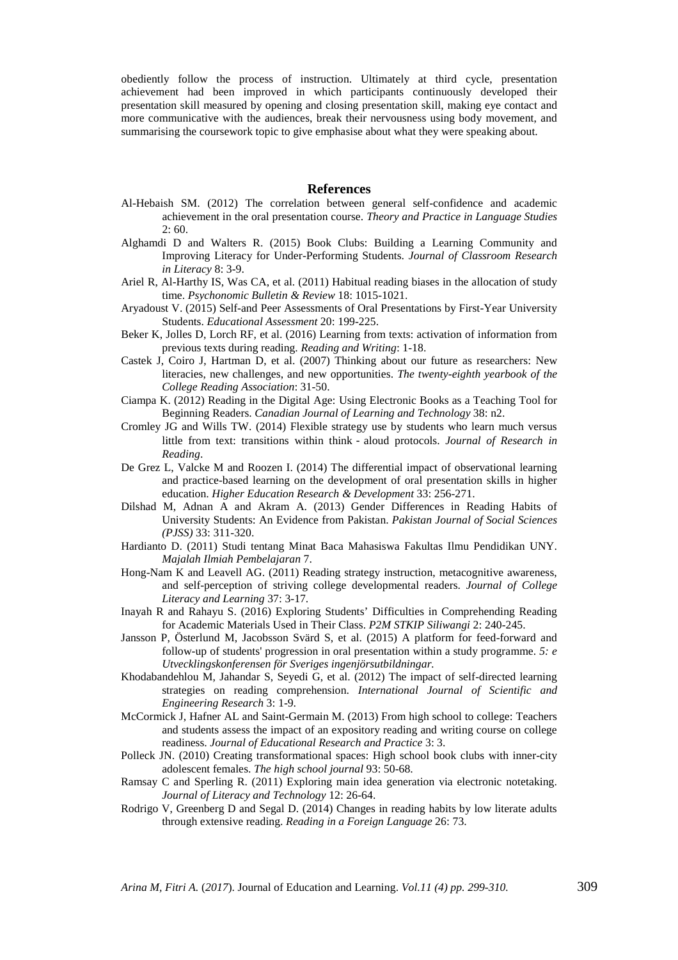obediently follow the process of instruction. Ultimately at third cycle, presentation achievement had been improved in which participants continuously developed their presentation skill measured by opening and closing presentation skill, making eye contact and more communicative with the audiences, break their nervousness using body movement, and summarising the coursework topic to give emphasise about what they were speaking about.

## <span id="page-10-18"></span><span id="page-10-14"></span><span id="page-10-11"></span><span id="page-10-10"></span><span id="page-10-8"></span><span id="page-10-4"></span><span id="page-10-3"></span>**References**

- <span id="page-10-2"></span>Al-Hebaish SM. (2012) The correlation between general self-confidence and academic achievement in the oral presentation course. *Theory and Practice in Language Studies* 2: 60.
- <span id="page-10-17"></span>Alghamdi D and Walters R. (2015) Book Clubs: Building a Learning Community and Improving Literacy for Under-Performing Students. *Journal of Classroom Research in Literacy* 8: 3-9.
- Ariel R, Al-Harthy IS, Was CA, et al. (2011) Habitual reading biases in the allocation of study time. *Psychonomic Bulletin & Review* 18: 1015-1021.
- Aryadoust V. (2015) Self-and Peer Assessments of Oral Presentations by First-Year University Students. *Educational Assessment* 20: 199-225.
- Beker K, Jolles D, Lorch RF, et al. (2016) Learning from texts: activation of information from previous texts during reading. *Reading and Writing*: 1-18.
- Castek J, Coiro J, Hartman D, et al. (2007) Thinking about our future as researchers: New literacies, new challenges, and new opportunities. *The twenty-eighth yearbook of the College Reading Association*: 31-50.
- Ciampa K. (2012) Reading in the Digital Age: Using Electronic Books as a Teaching Tool for Beginning Readers. *Canadian Journal of Learning and Technology* 38: n2.
- Cromley JG and Wills TW. (2014) Flexible strategy use by students who learn much versus little from text: transitions within think‐aloud protocols. *Journal of Research in Reading*.
- <span id="page-10-13"></span>De Grez L, Valcke M and Roozen I. (2014) The differential impact of observational learning and practice-based learning on the development of oral presentation skills in higher education. *Higher Education Research & Development* 33: 256-271.
- Dilshad M, Adnan A and Akram A. (2013) Gender Differences in Reading Habits of University Students: An Evidence from Pakistan. *Pakistan Journal of Social Sciences (PJSS)* 33: 311-320.
- <span id="page-10-5"></span><span id="page-10-0"></span>Hardianto D. (2011) Studi tentang Minat Baca Mahasiswa Fakultas Ilmu Pendidikan UNY. *Majalah Ilmiah Pembelajaran* 7.
- Hong-Nam K and Leavell AG. (2011) Reading strategy instruction, metacognitive awareness, and self-perception of striving college developmental readers. *Journal of College Literacy and Learning* 37: 3-17.
- <span id="page-10-15"></span><span id="page-10-9"></span>Inayah R and Rahayu S. (2016) Exploring Students' Difficulties in Comprehending Reading for Academic Materials Used in Their Class. *P2M STKIP Siliwangi* 2: 240-245.
- Jansson P, Österlund M, Jacobsson Svärd S, et al. (2015) A platform for feed-forward and follow-up of students' progression in oral presentation within a study programme. *5: e Utvecklingskonferensen för Sveriges ingenjörsutbildningar.*
- <span id="page-10-6"></span>Khodabandehlou M, Jahandar S, Seyedi G, et al. (2012) The impact of self-directed learning strategies on reading comprehension. *International Journal of Scientific and Engineering Research* 3: 1-9.
- <span id="page-10-7"></span>McCormick J, Hafner AL and Saint-Germain M. (2013) From high school to college: Teachers and students assess the impact of an expository reading and writing course on college readiness. *Journal of Educational Research and Practice* 3: 3.
- <span id="page-10-19"></span><span id="page-10-12"></span>Polleck JN. (2010) Creating transformational spaces: High school book clubs with inner-city adolescent females. *The high school journal* 93: 50-68.
- <span id="page-10-16"></span>Ramsay C and Sperling R. (2011) Exploring main idea generation via electronic notetaking. *Journal of Literacy and Technology* 12: 26-64.
- <span id="page-10-1"></span>Rodrigo V, Greenberg D and Segal D. (2014) Changes in reading habits by low literate adults through extensive reading. *Reading in a Foreign Language* 26: 73.